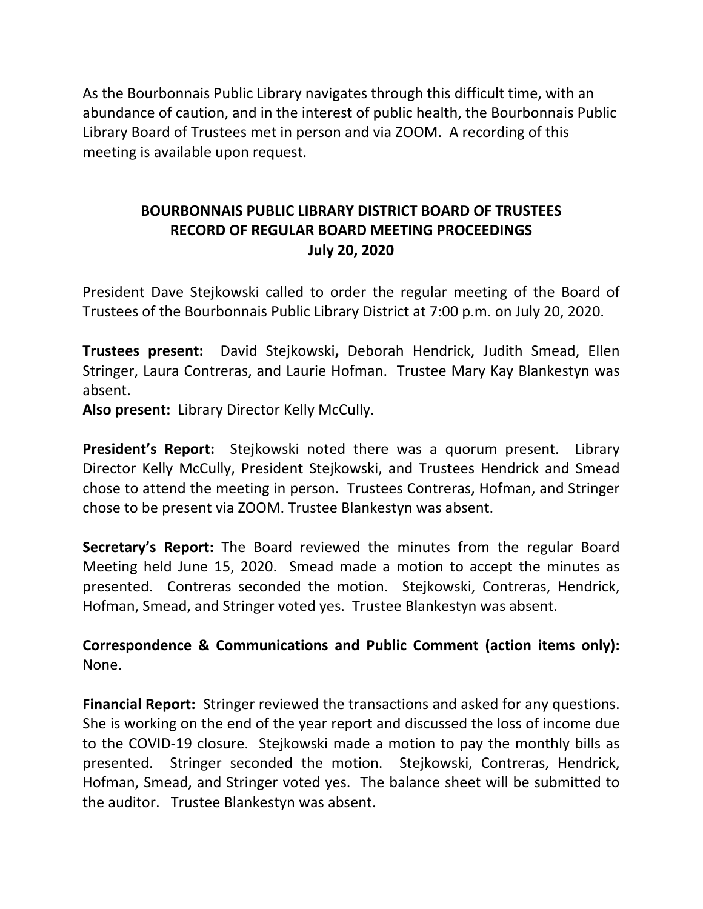As the Bourbonnais Public Library navigates through this difficult time, with an abundance of caution, and in the interest of public health, the Bourbonnais Public Library Board of Trustees met in person and via ZOOM. A recording of this meeting is available upon request.

# **BOURBONNAIS PUBLIC LIBRARY DISTRICT BOARD OF TRUSTEES RECORD OF REGULAR BOARD MEETING PROCEEDINGS July 20, 2020**

President Dave Stejkowski called to order the regular meeting of the Board of Trustees of the Bourbonnais Public Library District at 7:00 p.m. on July 20, 2020.

**Trustees present:** David Stejkowski**,** Deborah Hendrick, Judith Smead, Ellen Stringer, Laura Contreras, and Laurie Hofman. Trustee Mary Kay Blankestyn was absent.

**Also present:** Library Director Kelly McCully.

**President's Report:** Stejkowski noted there was a quorum present. Library Director Kelly McCully, President Stejkowski, and Trustees Hendrick and Smead chose to attend the meeting in person. Trustees Contreras, Hofman, and Stringer chose to be present via ZOOM. Trustee Blankestyn was absent.

**Secretary's Report:** The Board reviewed the minutes from the regular Board Meeting held June 15, 2020. Smead made a motion to accept the minutes as presented. Contreras seconded the motion. Stejkowski, Contreras, Hendrick, Hofman, Smead, and Stringer voted yes. Trustee Blankestyn was absent.

**Correspondence & Communications and Public Comment (action items only):**  None.

**Financial Report:** Stringer reviewed the transactions and asked for any questions. She is working on the end of the year report and discussed the loss of income due to the COVID-19 closure. Stejkowski made a motion to pay the monthly bills as presented. Stringer seconded the motion. Stejkowski, Contreras, Hendrick, Hofman, Smead, and Stringer voted yes. The balance sheet will be submitted to the auditor. Trustee Blankestyn was absent.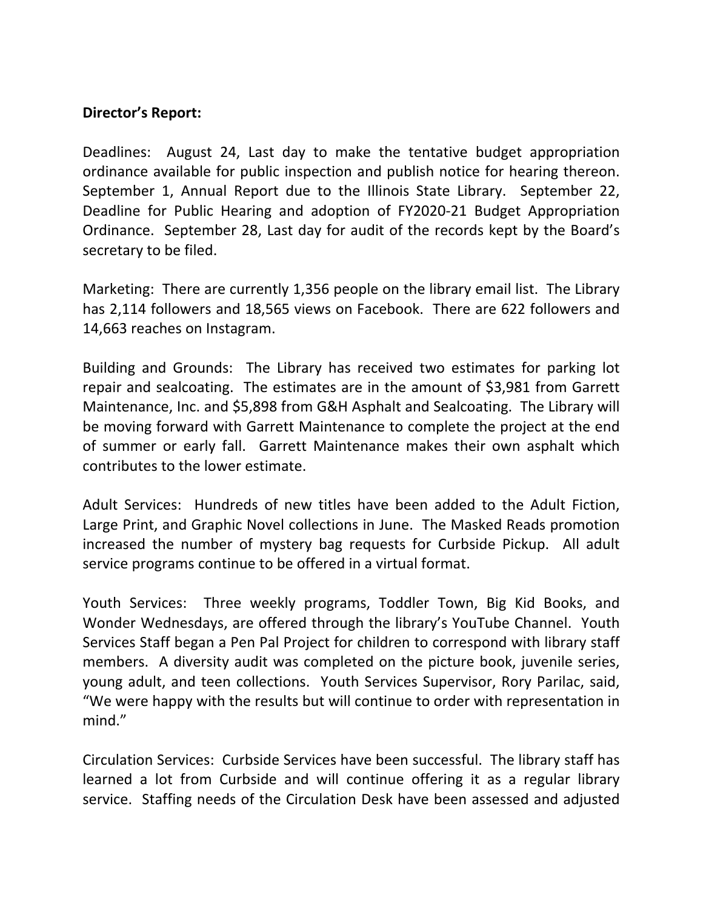## **Director's Report:**

Deadlines: August 24, Last day to make the tentative budget appropriation ordinance available for public inspection and publish notice for hearing thereon. September 1, Annual Report due to the Illinois State Library. September 22, Deadline for Public Hearing and adoption of FY2020-21 Budget Appropriation Ordinance. September 28, Last day for audit of the records kept by the Board's secretary to be filed.

Marketing: There are currently 1,356 people on the library email list. The Library has 2,114 followers and 18,565 views on Facebook. There are 622 followers and 14,663 reaches on Instagram.

Building and Grounds: The Library has received two estimates for parking lot repair and sealcoating. The estimates are in the amount of \$3,981 from Garrett Maintenance, Inc. and \$5,898 from G&H Asphalt and Sealcoating. The Library will be moving forward with Garrett Maintenance to complete the project at the end of summer or early fall. Garrett Maintenance makes their own asphalt which contributes to the lower estimate.

Adult Services: Hundreds of new titles have been added to the Adult Fiction, Large Print, and Graphic Novel collections in June. The Masked Reads promotion increased the number of mystery bag requests for Curbside Pickup. All adult service programs continue to be offered in a virtual format.

Youth Services: Three weekly programs, Toddler Town, Big Kid Books, and Wonder Wednesdays, are offered through the library's YouTube Channel. Youth Services Staff began a Pen Pal Project for children to correspond with library staff members. A diversity audit was completed on the picture book, juvenile series, young adult, and teen collections. Youth Services Supervisor, Rory Parilac, said, "We were happy with the results but will continue to order with representation in mind."

Circulation Services: Curbside Services have been successful. The library staff has learned a lot from Curbside and will continue offering it as a regular library service. Staffing needs of the Circulation Desk have been assessed and adjusted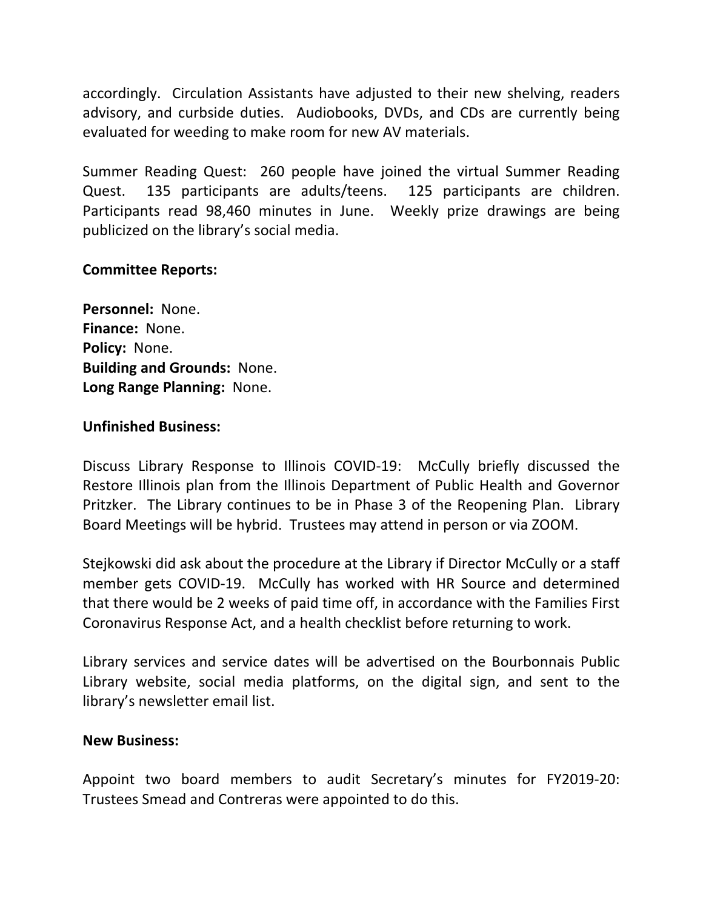accordingly. Circulation Assistants have adjusted to their new shelving, readers advisory, and curbside duties. Audiobooks, DVDs, and CDs are currently being evaluated for weeding to make room for new AV materials.

Summer Reading Quest: 260 people have joined the virtual Summer Reading Quest. 135 participants are adults/teens. 125 participants are children. Participants read 98,460 minutes in June. Weekly prize drawings are being publicized on the library's social media.

## **Committee Reports:**

**Personnel:** None. **Finance:** None. **Policy:** None. **Building and Grounds:** None. **Long Range Planning:** None.

### **Unfinished Business:**

Discuss Library Response to Illinois COVID-19: McCully briefly discussed the Restore Illinois plan from the Illinois Department of Public Health and Governor Pritzker. The Library continues to be in Phase 3 of the Reopening Plan. Library Board Meetings will be hybrid. Trustees may attend in person or via ZOOM.

Stejkowski did ask about the procedure at the Library if Director McCully or a staff member gets COVID-19. McCully has worked with HR Source and determined that there would be 2 weeks of paid time off, in accordance with the Families First Coronavirus Response Act, and a health checklist before returning to work.

Library services and service dates will be advertised on the Bourbonnais Public Library website, social media platforms, on the digital sign, and sent to the library's newsletter email list.

#### **New Business:**

Appoint two board members to audit Secretary's minutes for FY2019-20: Trustees Smead and Contreras were appointed to do this.